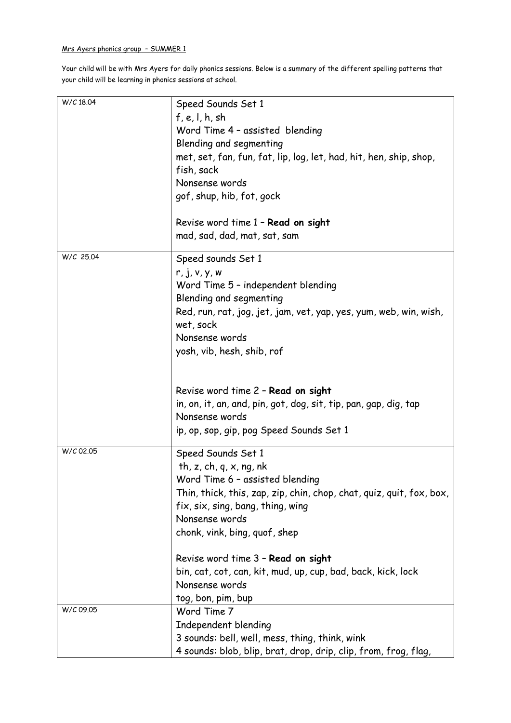## Mrs Ayers phonics group – SUMMER 1

Your child will be with Mrs Ayers for daily phonics sessions. Below is a summary of the different spelling patterns that your child will be learning in phonics sessions at school.

| W/C 18.04 | Speed Sounds Set 1<br>f, e, l, h, sh<br>Word Time 4 - assisted blending<br>Blending and segmenting<br>met, set, fan, fun, fat, lip, log, let, had, hit, hen, ship, shop,<br>fish, sack<br>Nonsense words<br>gof, shup, hib, fot, gock               |
|-----------|-----------------------------------------------------------------------------------------------------------------------------------------------------------------------------------------------------------------------------------------------------|
|           | Revise word time 1 - Read on sight<br>mad, sad, dad, mat, sat, sam                                                                                                                                                                                  |
| W/C 25.04 | Speed sounds Set 1<br>r, j, v, y, w<br>Word Time 5 - independent blending<br>Blending and segmenting<br>Red, run, rat, jog, jet, jam, vet, yap, yes, yum, web, win, wish,<br>wet, sock<br>Nonsense words<br>yosh, vib, hesh, shib, rof              |
|           | Revise word time 2 - Read on sight<br>in, on, it, an, and, pin, got, dog, sit, tip, pan, gap, dig, tap<br>Nonsense words<br>ip, op, sop, gip, pog Speed Sounds Set 1                                                                                |
| W/C 02.05 | Speed Sounds Set 1<br>th, z, ch, q, $x$ , ng, nk<br>Word Time 6 - assisted blending<br>Thin, thick, this, zap, zip, chin, chop, chat, quiz, quit, fox, box,<br>fix, six, sing, bang, thing, wing<br>Nonsense words<br>chonk, vink, bing, quof, shep |
|           | Revise word time 3 - Read on sight<br>bin, cat, cot, can, kit, mud, up, cup, bad, back, kick, lock<br>Nonsense words<br>tog, bon, pim, bup                                                                                                          |
| W/C 09.05 | Word Time 7<br>Independent blending<br>3 sounds: bell, well, mess, thing, think, wink<br>4 sounds: blob, blip, brat, drop, drip, clip, from, frog, flag,                                                                                            |